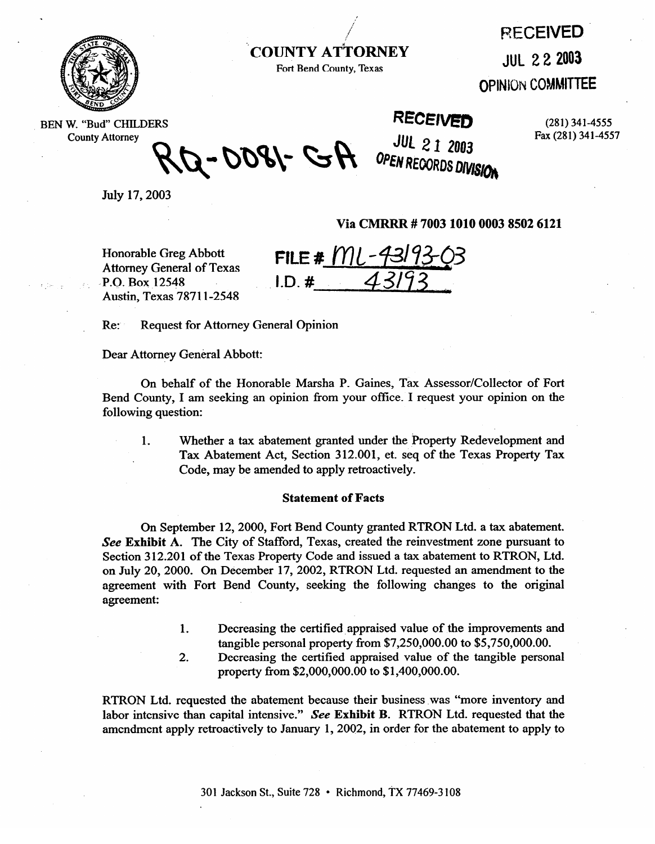

**COUNTY ATTORNEY Fort Bend County, Texas** 

**RECEIVED** 

**JUL 2 2 2003** 

**OPINION COMMITTEE** 

BEN W. "Bud" CHILDERS **County** Attorney

**RECE1VEI) (281) 341-4555** 

**JUL 21 2003** OPEN RECORDS DIVISION

**Fax (281) 341-4557** 

A-0081- GH

July 17,2003

agreement:

**Via CMRRR # 7003 1010 0003 8502 6121** 

 $\mathbf{r} = \mathbf{r} \cdot \mathbf{r}$ . BOX 12548 Austin, Texas 78711-2548

Honorable Greg Abbott<br>Attorney General of Texas<br>Reference to Reference the Reference of 2193  $I.D.$ #

Re: Request for Attorney General Opinion

Dear Attorney General Abbott:

On behalf of the Honorable Marsha P. Gaines, Tax Assessor/Collector of Fort Bend County, I am seeking an opinion from your office. I request your opinion on the following question:

1. Whether a tax abatement granted under the Property Redevelopment and Tax Abatement Act, Section 312.001, et. seq of the Texas Property Tax Code, may be amended to apply retroactively. Code, may be amended to apply retroactively.

## **Statement of Facts**

On September 12, 2000, Fort Bend County granted RTRON Ltd. a tax abatement.<br>See Exhibit A. The City of Stafford, Texas, created the reinvestment zone pursuant to Section 312.201 of the Texas Property Code and issued a tax abatement to RTRON, Ltd. on July 20, 2000. On December 17, 2002, RTRON Ltd. requested an amendment to the agreement with Fort Bend County, seeking the following changes to the original agreement:

- $1.$ Decreasing the certified appraised value of the improvements and tangible personal property from  $$7,250,000.00$  to  $$5,750,000.00$ .
- $2.$ Decreasing the certified appraised value of the tangible personal property from  $$2,000,000.00$  to  $$1,400,000.00$ .

RTRON Ltd. requested the abatement because their business was "more inventory and labor intensive than capital intensive." See Exhibit B. RTRON Ltd. requested that the amendment apply retroactively to January 1, 2002, in order for the abatement to apply to

amendment apply retroactively to January 1,2002, in order for the abatement to apply to apply to apply to appl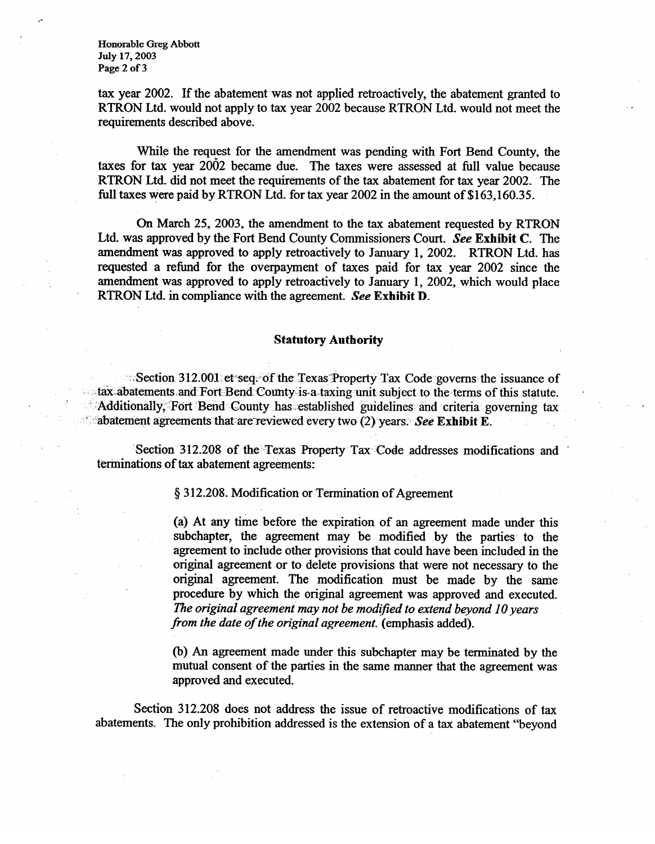**Honorable Greg Abbott July 17,2003 Page 2 of 3** 

tax year 2002. If the abatement was not applied retroactively, the abatement granted to RTRON Ltd. would not apply to tax year 2002 because RTRON Ltd. would not meet the requirements described above.

While the request for the amendment was pending with Fort Bend County, the taxes for tax year 2002 became due. The taxes were assessed at full value because RTRON Ltd. did not meet the requirements of the tax abatement for tax year 2002. The full taxes Were paid by RTRON Ltd. for tax year 2002 in the amount of \$163,160.35.

On March 25, 2003, the amendment to the tax abatement requested by RTRON Ltd. was approved by the Fort Bend County Commissioners **Court. See Exhibit C. The**  amendment was approved to apply retroactively to January 1, 2002. RTRON Ltd. has requested a refund for the overpayment of taxes paid for tax year 2002 since the amendment was approved to apply retroactively to January 1, 2002, which would place RTRON Ltd. in compliance with the agreement. **See Exhibit D.** 

## **Statutory Authority**

Section 312.001 et-seq. of the Texas Property Tax Code-governs the issuance of tax abatements and Fort Bend County is a taxing unit subject to the terms of this statute. Additionally, Fort Bend County has established guidelines and criteria governing tax  $\alpha$  reductionally, T of Bend County .has established guidelines. and criteria governing tax  $\alpha$ .' %batement agreements' thatarereviewed **every two (2) years. See Exhibit E.** 

Section 312.200 of the Texas Troperty. Tax- Code addresses modifications and .<br>Terminations of tax-abatement agreements: terminations of tax abatement agreements:

§ 312.208. Modification or Termination of Agreement

(a) At any time before the expiration of an agreement made under this subchapter, the agreement may be modified by the parties to the agreement to include other provisions that could have been included in the original agreement or to delete provisions that were not necessary to the original agreement. The modification must be made by the same procedure by which the original agreement was approved and executed. The original agreement may not be modified to extend beyond 10 years *from the date of the original agreement.* (emphasis added).

(b) An agreement made under this subchapter may be terminated by the mutual consent of the parties in the same manner that the agreement was approved and executed.

Section 312.208 does not address the issue of retroactive modifications of tax abatements. The only prohibition addressed is the extension of a tax abatement "beyond abatements. The only prohibition addressed is the extension of a tax abatement "beyond

*from the date* of *the original agreement.* (emphasis added).